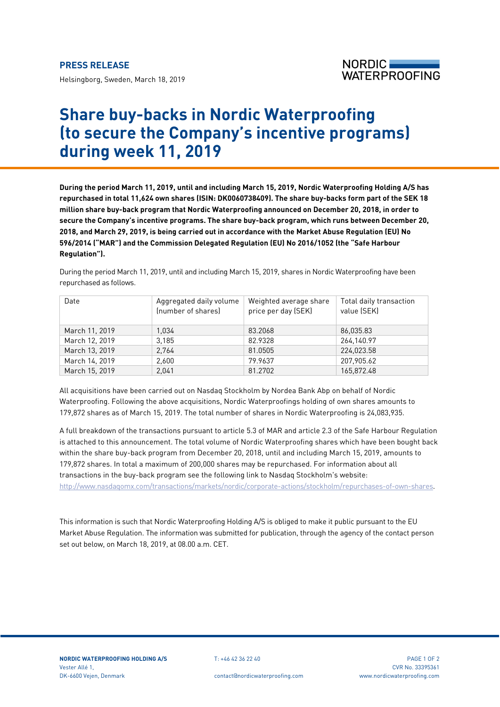Helsingborg, Sweden, March 18, 2019



## **Share buy-backs in Nordic Waterproofing (to secure the Company's incentive programs) during week 11, 2019**

**During the period March 11, 2019, until and including March 15, 2019, Nordic Waterproofing Holding A/S has repurchased in total 11,624 own shares (ISIN: DK0060738409). The share buy-backs form part of the SEK 18 million share buy-back program that Nordic Waterproofing announced on December 20, 2018, in order to secure the Company's incentive programs. The share buy-back program, which runs between December 20, 2018, and March 29, 2019, is being carried out in accordance with the Market Abuse Regulation (EU) No 596/2014 ("MAR") and the Commission Delegated Regulation (EU) No 2016/1052 (the "Safe Harbour Regulation").**

During the period March 11, 2019, until and including March 15, 2019, shares in Nordic Waterproofing have been repurchased as follows.

| Date           | Aggregated daily volume<br>(number of shares) | Weighted average share<br>price per day (SEK) | Total daily transaction<br>value (SEK) |
|----------------|-----------------------------------------------|-----------------------------------------------|----------------------------------------|
| March 11, 2019 | 1.034                                         | 83.2068                                       | 86,035.83                              |
| March 12, 2019 | 3.185                                         | 82.9328                                       | 264,140.97                             |
| March 13, 2019 | 2,764                                         | 81.0505                                       | 224,023.58                             |
| March 14, 2019 | 2.600                                         | 79.9637                                       | 207,905.62                             |
| March 15, 2019 | 2.041                                         | 81.2702                                       | 165.872.48                             |

All acquisitions have been carried out on Nasdaq Stockholm by Nordea Bank Abp on behalf of Nordic Waterproofing. Following the above acquisitions, Nordic Waterproofings holding of own shares amounts to 179,872 shares as of March 15, 2019. The total number of shares in Nordic Waterproofing is 24,083,935.

A full breakdown of the transactions pursuant to article 5.3 of MAR and article 2.3 of the Safe Harbour Regulation is attached to this announcement. The total volume of Nordic Waterproofing shares which have been bought back within the share buy-back program from December 20, 2018, until and including March 15, 2019, amounts to 179,872 shares. In total a maximum of 200,000 shares may be repurchased. For information about all transactions in the buy-back program see the following link to Nasdaq Stockholm's website: [http://www.nasdaqomx.com/transactions/markets/nordic/corporate-actions/stockholm/repurchases-of-own-shares.](http://www.nasdaqomx.com/transactions/markets/nordic/corporate-actions/stockholm/repurchases-of-own-shares)

This information is such that Nordic Waterproofing Holding A/S is obliged to make it public pursuant to the EU Market Abuse Regulation. The information was submitted for publication, through the agency of the contact person set out below, on March 18, 2019, at 08.00 a.m. CET.